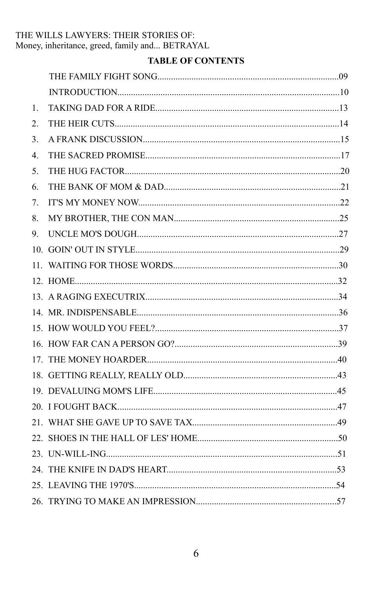#### THE WILLS LAWYERS: THEIR STORIES OF: Money, inheritance, greed, family and... BETRAYAL

# **TABLE OF CONTENTS**

| 1. |  |
|----|--|
| 2. |  |
| 3. |  |
| 4. |  |
| 5. |  |
| 6. |  |
| 7. |  |
| 8. |  |
| 9. |  |
|    |  |
|    |  |
|    |  |
|    |  |
|    |  |
|    |  |
|    |  |
|    |  |
|    |  |
|    |  |
|    |  |
|    |  |
|    |  |
|    |  |
|    |  |
|    |  |
|    |  |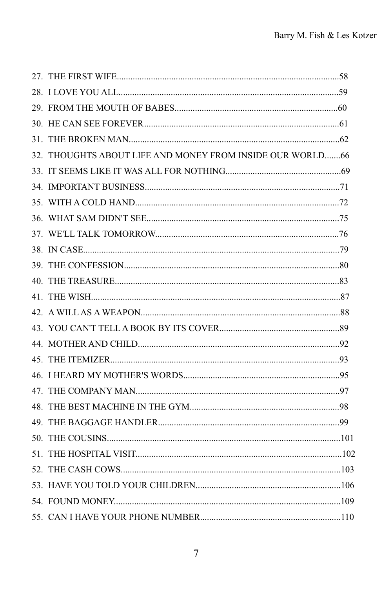| 32. THOUGHTS ABOUT LIFE AND MONEY FROM INSIDE OUR WORLD 66 |  |
|------------------------------------------------------------|--|
|                                                            |  |
|                                                            |  |
|                                                            |  |
|                                                            |  |
|                                                            |  |
|                                                            |  |
|                                                            |  |
|                                                            |  |
|                                                            |  |
|                                                            |  |
|                                                            |  |
|                                                            |  |
|                                                            |  |
|                                                            |  |
|                                                            |  |
|                                                            |  |
|                                                            |  |
|                                                            |  |
|                                                            |  |
|                                                            |  |
|                                                            |  |
|                                                            |  |
|                                                            |  |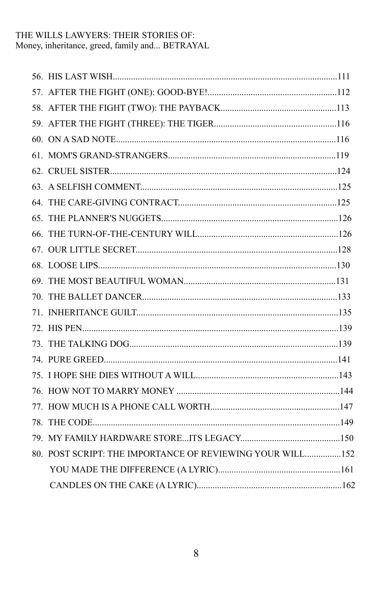### THE WILLS LAWYERS: THEIR STORIES OF: Money, inheritance, greed, family and... BETRAYAL

| 80. POST SCRIPT: THE IMPORTANCE OF REVIEWING YOUR WILL152 |  |
|-----------------------------------------------------------|--|
|                                                           |  |
|                                                           |  |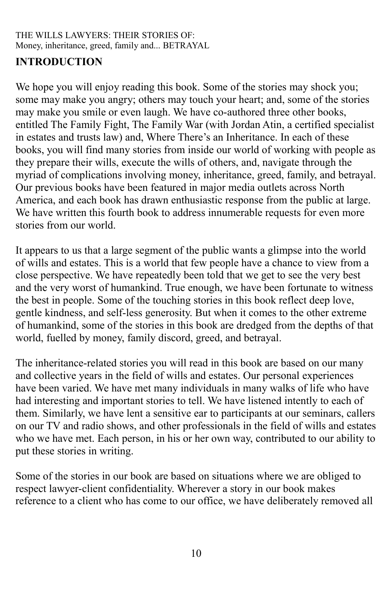### THE WILLS LAWYERS: THEIR STORIES OF: Money, inheritance, greed, family and... BETRAYAL

# **INTRODUCTION**

 in estates and trusts law) and, Where There's an Inheritance. In each of these We hope you will enjoy reading this book. Some of the stories may shock you; some may make you angry; others may touch your heart; and, some of the stories may make you smile or even laugh. We have co-authored three other books, entitled The Family Fight, The Family War (with Jordan Atin, a certified specialist books, you will find many stories from inside our world of working with people as they prepare their wills, execute the wills of others, and, navigate through the myriad of complications involving money, inheritance, greed, family, and betrayal. Our previous books have been featured in major media outlets across North America, and each book has drawn enthusiastic response from the public at large. We have written this fourth book to address innumerable requests for even more stories from our world.

It appears to us that a large segment of the public wants a glimpse into the world of wills and estates. This is a world that few people have a chance to view from a close perspective. We have repeatedly been told that we get to see the very best and the very worst of humankind. True enough, we have been fortunate to witness the best in people. Some of the touching stories in this book reflect deep love, gentle kindness, and self-less generosity. But when it comes to the other extreme of humankind, some of the stories in this book are dredged from the depths of that world, fuelled by money, family discord, greed, and betrayal.

The inheritance-related stories you will read in this book are based on our many and collective years in the field of wills and estates. Our personal experiences have been varied. We have met many individuals in many walks of life who have had interesting and important stories to tell. We have listened intently to each of them. Similarly, we have lent a sensitive ear to participants at our seminars, callers on our TV and radio shows, and other professionals in the field of wills and estates who we have met. Each person, in his or her own way, contributed to our ability to put these stories in writing.

Some of the stories in our book are based on situations where we are obliged to respect lawyer-client confidentiality. Wherever a story in our book makes reference to a client who has come to our office, we have deliberately removed all